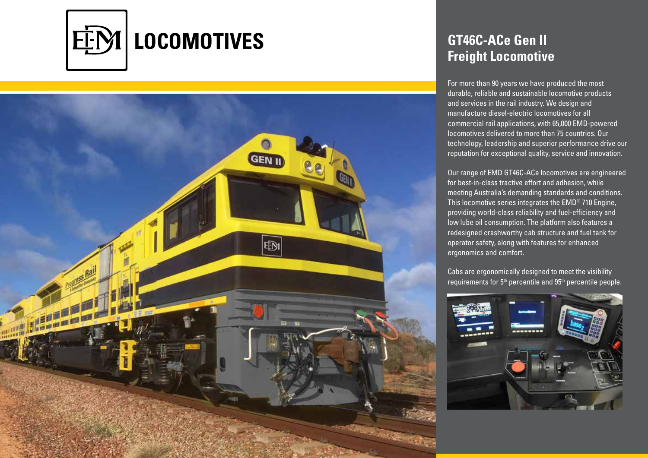

## **LEBI**

## **GT46C-ACe Gen II Freight Locomotive**

For more than 90 years we have produced the most durable, reliable and sustainable locomotive products and services in the rail industry. We design and manufacture diesel-electric locomotives for all commercial rail applications, with 65,000 EMD-powered locomotives delivered to more than 75 countries. Our technology, leadership and superior performance drive our reputation for exceptional quality, service and innovation.

Our range of EMD GT46C-ACe locomotives are engineered for best-in-class tractive effort and adhesion, while meeting Australia's demanding standards and conditions. This locomotive series integrates the EMD® 710 Engine, providing world-class reliability and fuel-efficiency and low lube oil consumption. The platform also features a redesigned crashworthy cab structure and fuel tank for operator safety, along with features for enhanced ergonomics and comfort.

Cabs are ergonomically designed to meet the visibility requirements for 5th percentile and 95th percentile people.